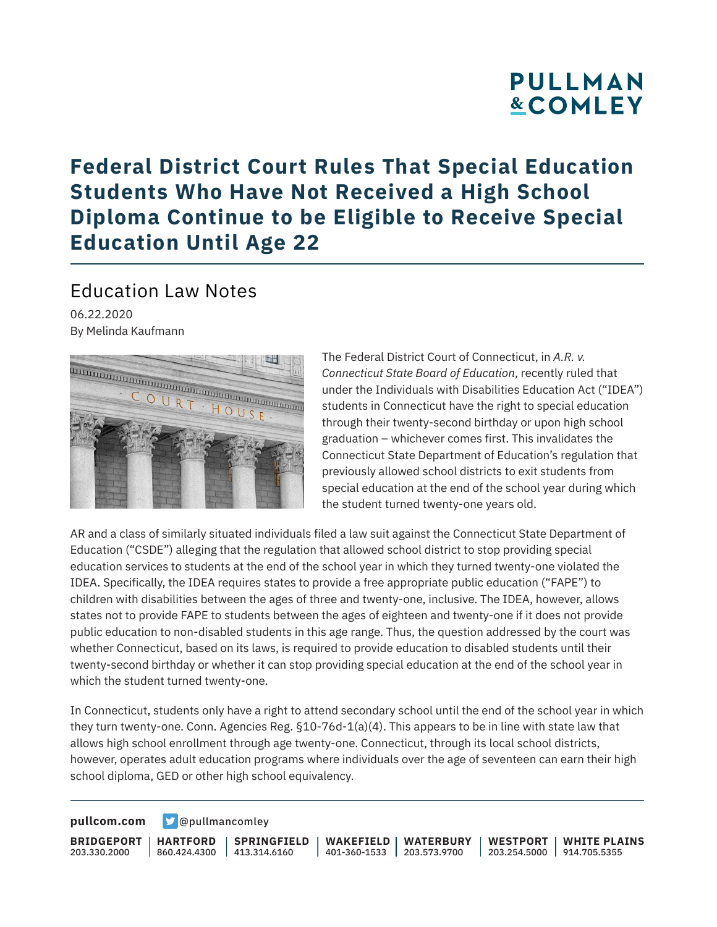## **PULLMAN &COMLEY**

## **Federal District Court Rules That Special Education Students Who Have Not Received a High School Diploma Continue to be Eligible to Receive Special Education Until Age 22**

### Education Law Notes

06.22.2020 By Melinda Kaufmann



The Federal District Court of Connecticut, in *A.R. v. Connecticut State Board of Education*, recently ruled that under the Individuals with Disabilities Education Act ("IDEA") students in Connecticut have the right to special education through their twenty-second birthday or upon high school graduation – whichever comes first. This invalidates the Connecticut State Department of Education's regulation that previously allowed school districts to exit students from special education at the end of the school year during which the student turned twenty-one years old.

AR and a class of similarly situated individuals filed a law suit against the Connecticut State Department of Education ("CSDE") alleging that the regulation that allowed school district to stop providing special education services to students at the end of the school year in which they turned twenty-one violated the IDEA. Specifically, the IDEA requires states to provide a free appropriate public education ("FAPE") to children with disabilities between the ages of three and twenty-one, inclusive. The IDEA, however, allows states not to provide FAPE to students between the ages of eighteen and twenty-one if it does not provide public education to non-disabled students in this age range. Thus, the question addressed by the court was whether Connecticut, based on its laws, is required to provide education to disabled students until their twenty-second birthday or whether it can stop providing special education at the end of the school year in which the student turned twenty-one.

In Connecticut, students only have a right to attend secondary school until the end of the school year in which they turn twenty-one. Conn. Agencies Reg. §10-76d-1(a)(4). This appears to be in line with state law that allows high school enrollment through age twenty-one. Connecticut, through its local school districts, however, operates adult education programs where individuals over the age of seventeen can earn their high school diploma, GED or other high school equivalency.

**[pullcom.com](https://www.pullcom.com) g** [@pullmancomley](https://twitter.com/PullmanComley)

**BRIDGEPORT** 203.330.2000

**HARTFORD**

860.424.4300 413.314.6160 **SPRINGFIELD** **WAKEFIELD** 401-360-1533 203.573.9700 **WATERBURY**

**WESTPORT WHITE PLAINS** 203.254.5000 914.705.5355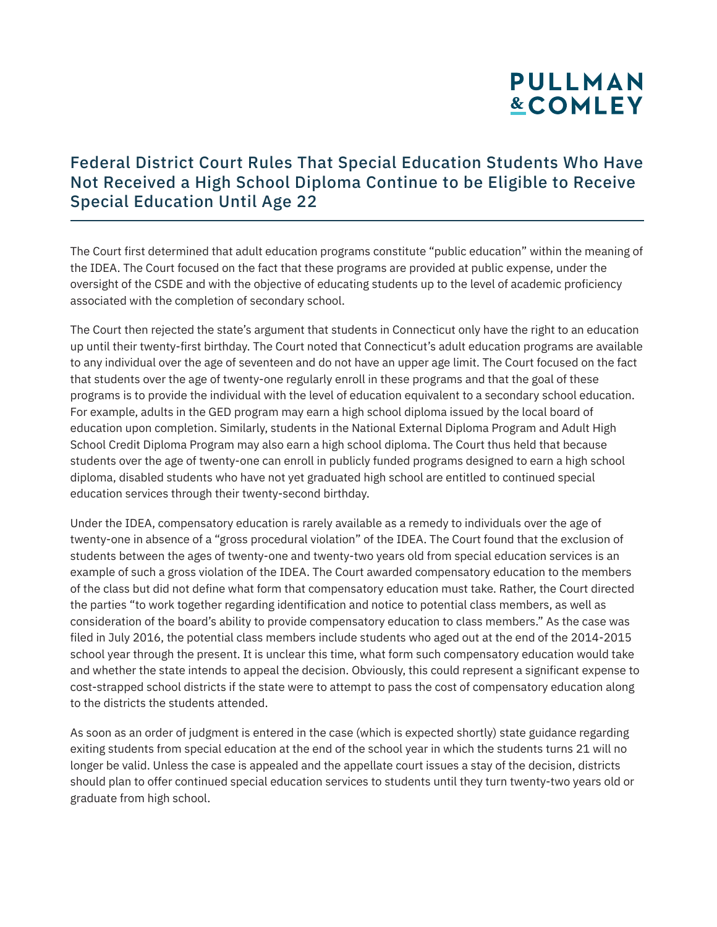# **PULLMAN &COMLEY**

#### Federal District Court Rules That Special Education Students Who Have Not Received a High School Diploma Continue to be Eligible to Receive Special Education Until Age 22

The Court first determined that adult education programs constitute "public education" within the meaning of the IDEA. The Court focused on the fact that these programs are provided at public expense, under the oversight of the CSDE and with the objective of educating students up to the level of academic proficiency associated with the completion of secondary school.

The Court then rejected the state's argument that students in Connecticut only have the right to an education up until their twenty-first birthday. The Court noted that Connecticut's adult education programs are available to any individual over the age of seventeen and do not have an upper age limit. The Court focused on the fact that students over the age of twenty-one regularly enroll in these programs and that the goal of these programs is to provide the individual with the level of education equivalent to a secondary school education. For example, adults in the GED program may earn a high school diploma issued by the local board of education upon completion. Similarly, students in the National External Diploma Program and Adult High School Credit Diploma Program may also earn a high school diploma. The Court thus held that because students over the age of twenty-one can enroll in publicly funded programs designed to earn a high school diploma, disabled students who have not yet graduated high school are entitled to continued special education services through their twenty-second birthday.

Under the IDEA, compensatory education is rarely available as a remedy to individuals over the age of twenty-one in absence of a "gross procedural violation" of the IDEA. The Court found that the exclusion of students between the ages of twenty-one and twenty-two years old from special education services is an example of such a gross violation of the IDEA. The Court awarded compensatory education to the members of the class but did not define what form that compensatory education must take. Rather, the Court directed the parties "to work together regarding identification and notice to potential class members, as well as consideration of the board's ability to provide compensatory education to class members." As the case was filed in July 2016, the potential class members include students who aged out at the end of the 2014-2015 school year through the present. It is unclear this time, what form such compensatory education would take and whether the state intends to appeal the decision. Obviously, this could represent a significant expense to cost-strapped school districts if the state were to attempt to pass the cost of compensatory education along to the districts the students attended.

As soon as an order of judgment is entered in the case (which is expected shortly) state guidance regarding exiting students from special education at the end of the school year in which the students turns 21 will no longer be valid. Unless the case is appealed and the appellate court issues a stay of the decision, districts should plan to offer continued special education services to students until they turn twenty-two years old or graduate from high school.